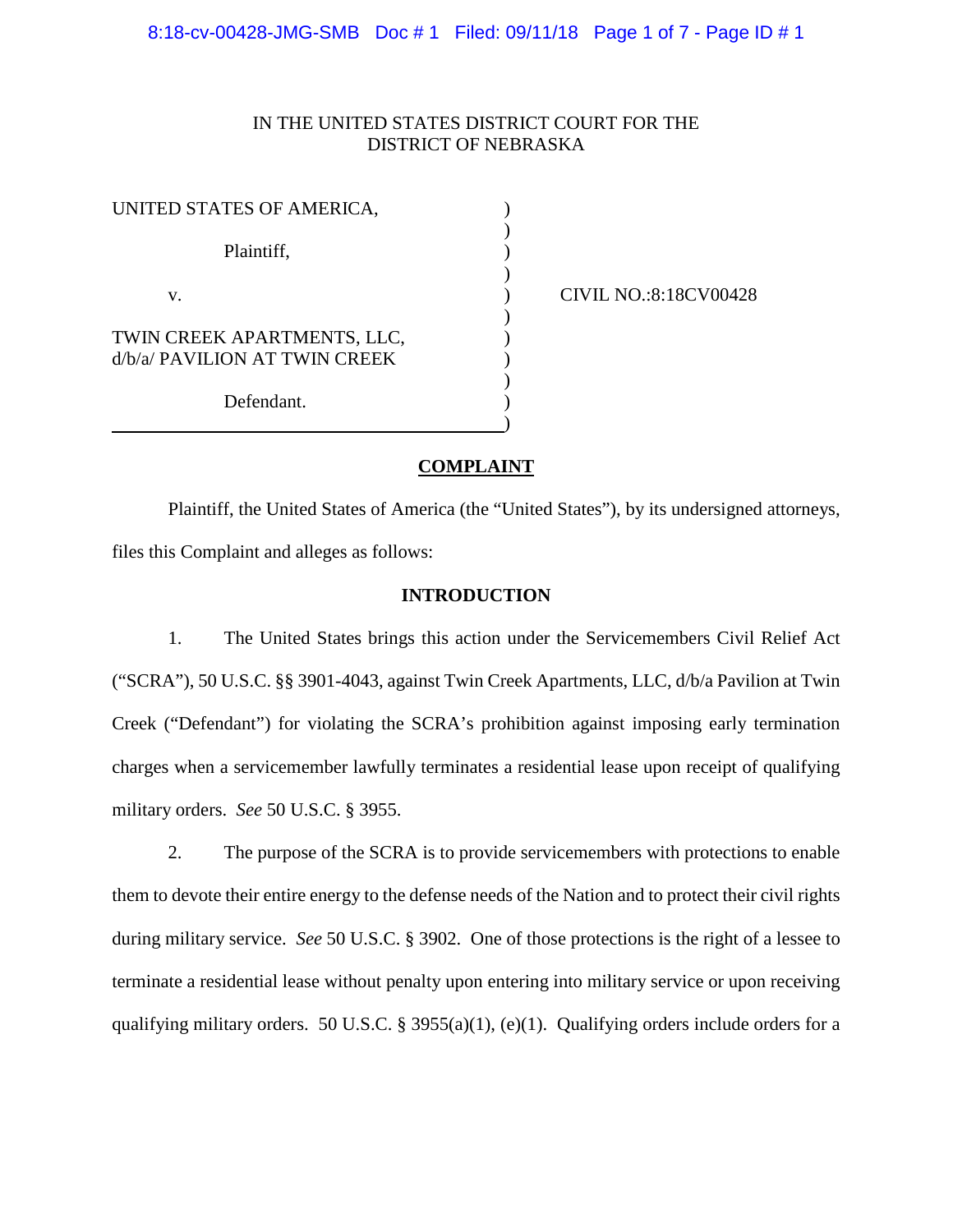# IN THE UNITED STATES DISTRICT COURT FOR THE DISTRICT OF NEBRASKA

| UNITED STATES OF AMERICA,                                    |  |
|--------------------------------------------------------------|--|
| Plaintiff,                                                   |  |
| V.                                                           |  |
| TWIN CREEK APARTMENTS, LLC,<br>d/b/a/ PAVILION AT TWIN CREEK |  |
| Defendant.                                                   |  |

CIVIL NO.:8:18CV00428

## **COMPLAINT**

Plaintiff, the United States of America (the "United States"), by its undersigned attorneys, files this Complaint and alleges as follows:

## **INTRODUCTION**

1. The United States brings this action under the Servicemembers Civil Relief Act ("SCRA"), 50 U.S.C. §§ 3901-4043, against Twin Creek Apartments, LLC, d/b/a Pavilion at Twin Creek ("Defendant") for violating the SCRA's prohibition against imposing early termination charges when a servicemember lawfully terminates a residential lease upon receipt of qualifying military orders. *See* 50 U.S.C. § 3955.

2. The purpose of the SCRA is to provide servicemembers with protections to enable them to devote their entire energy to the defense needs of the Nation and to protect their civil rights during military service. *See* 50 U.S.C. § 3902. One of those protections is the right of a lessee to terminate a residential lease without penalty upon entering into military service or upon receiving qualifying military orders. 50 U.S.C. § 3955(a)(1), (e)(1). Qualifying orders include orders for a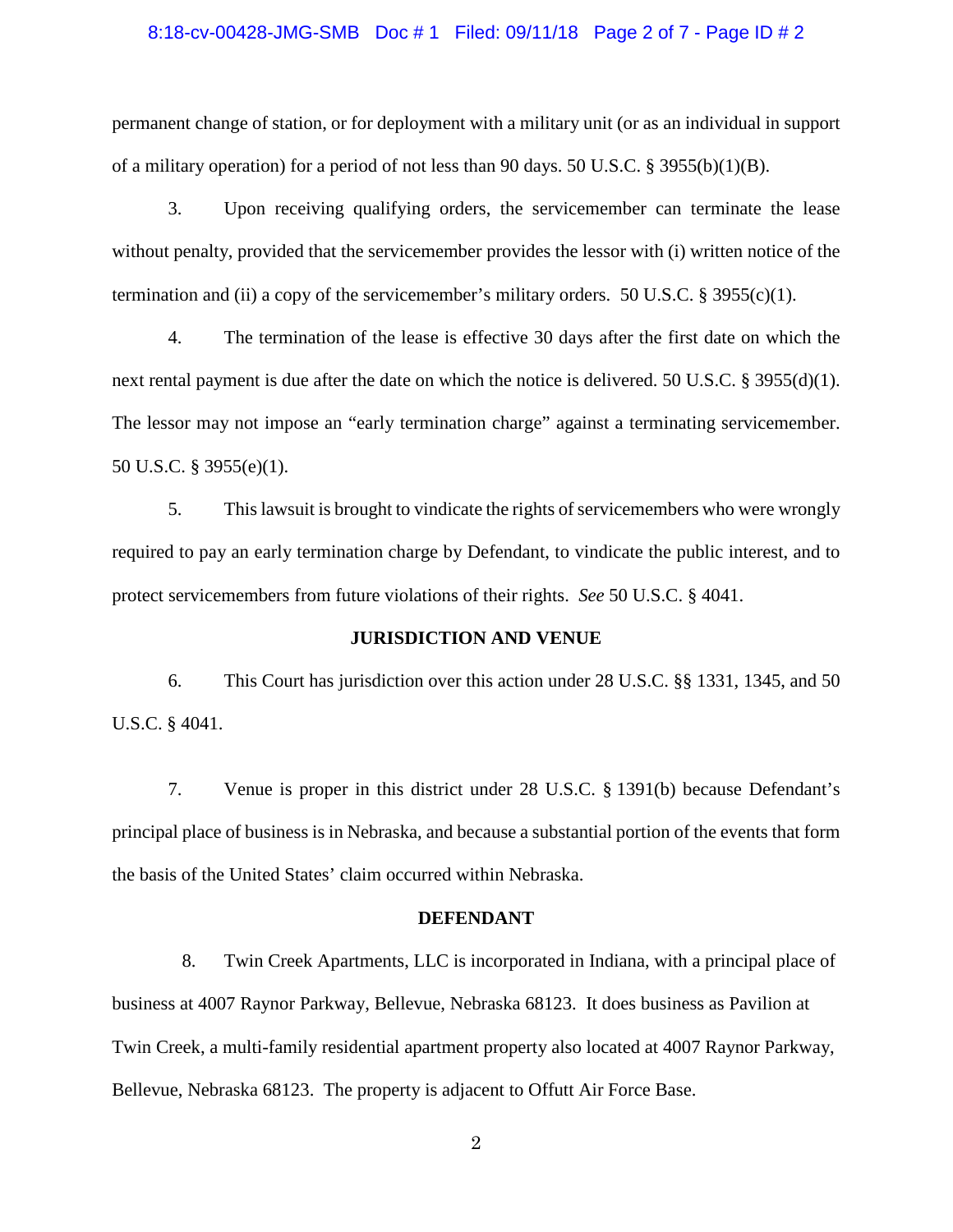#### 8:18-cv-00428-JMG-SMB Doc # 1 Filed: 09/11/18 Page 2 of 7 - Page ID # 2

permanent change of station, or for deployment with a military unit (or as an individual in support of a military operation) for a period of not less than 90 days. 50 U.S.C. § 3955(b)(1)(B).

3. Upon receiving qualifying orders, the servicemember can terminate the lease without penalty, provided that the servicemember provides the lessor with (i) written notice of the termination and (ii) a copy of the servicemember's military orders. 50 U.S.C.  $\S$  3955(c)(1).

4. The termination of the lease is effective 30 days after the first date on which the next rental payment is due after the date on which the notice is delivered. 50 U.S.C. § 3955(d)(1). The lessor may not impose an "early termination charge" against a terminating servicemember. 50 U.S.C. § 3955(e)(1).

5. This lawsuit is brought to vindicate the rights of servicemembers who were wrongly required to pay an early termination charge by Defendant, to vindicate the public interest, and to protect servicemembers from future violations of their rights. *See* 50 U.S.C. § 4041.

#### **JURISDICTION AND VENUE**

6. This Court has jurisdiction over this action under 28 U.S.C. §§ 1331, 1345, and 50 U.S.C. § 4041.

7. Venue is proper in this district under 28 U.S.C. § 1391(b) because Defendant's principal place of business is in Nebraska, and because a substantial portion of the events that form the basis of the United States' claim occurred within Nebraska.

## **DEFENDANT**

8. Twin Creek Apartments, LLC is incorporated in Indiana, with a principal place of business at 4007 Raynor Parkway, Bellevue, Nebraska 68123. It does business as Pavilion at Twin Creek, a multi-family residential apartment property also located at 4007 Raynor Parkway, Bellevue, Nebraska 68123. The property is adjacent to Offutt Air Force Base.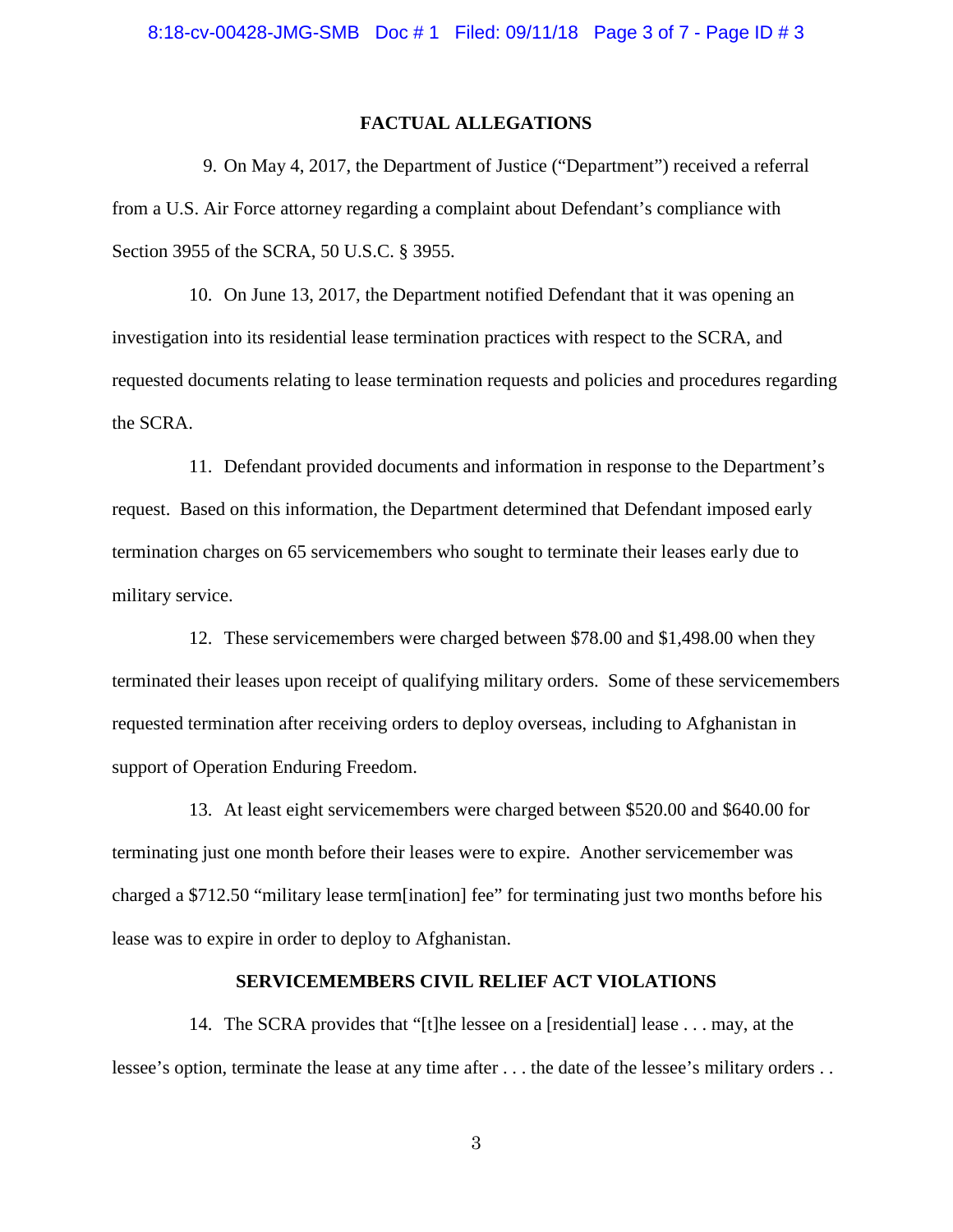#### **FACTUAL ALLEGATIONS**

9. On May 4, 2017, the Department of Justice ("Department") received a referral from a U.S. Air Force attorney regarding a complaint about Defendant's compliance with Section 3955 of the SCRA, 50 U.S.C. § 3955.

10. On June 13, 2017, the Department notified Defendant that it was opening an investigation into its residential lease termination practices with respect to the SCRA, and requested documents relating to lease termination requests and policies and procedures regarding the SCRA.

11. Defendant provided documents and information in response to the Department's request. Based on this information, the Department determined that Defendant imposed early termination charges on 65 servicemembers who sought to terminate their leases early due to military service.

12. These servicemembers were charged between \$78.00 and \$1,498.00 when they terminated their leases upon receipt of qualifying military orders. Some of these servicemembers requested termination after receiving orders to deploy overseas, including to Afghanistan in support of Operation Enduring Freedom.

13. At least eight servicemembers were charged between \$520.00 and \$640.00 for terminating just one month before their leases were to expire. Another servicemember was charged a \$712.50 "military lease term[ination] fee" for terminating just two months before his lease was to expire in order to deploy to Afghanistan.

## **SERVICEMEMBERS CIVIL RELIEF ACT VIOLATIONS**

14. The SCRA provides that "[t]he lessee on a [residential] lease . . . may, at the lessee's option, terminate the lease at any time after . . . the date of the lessee's military orders . .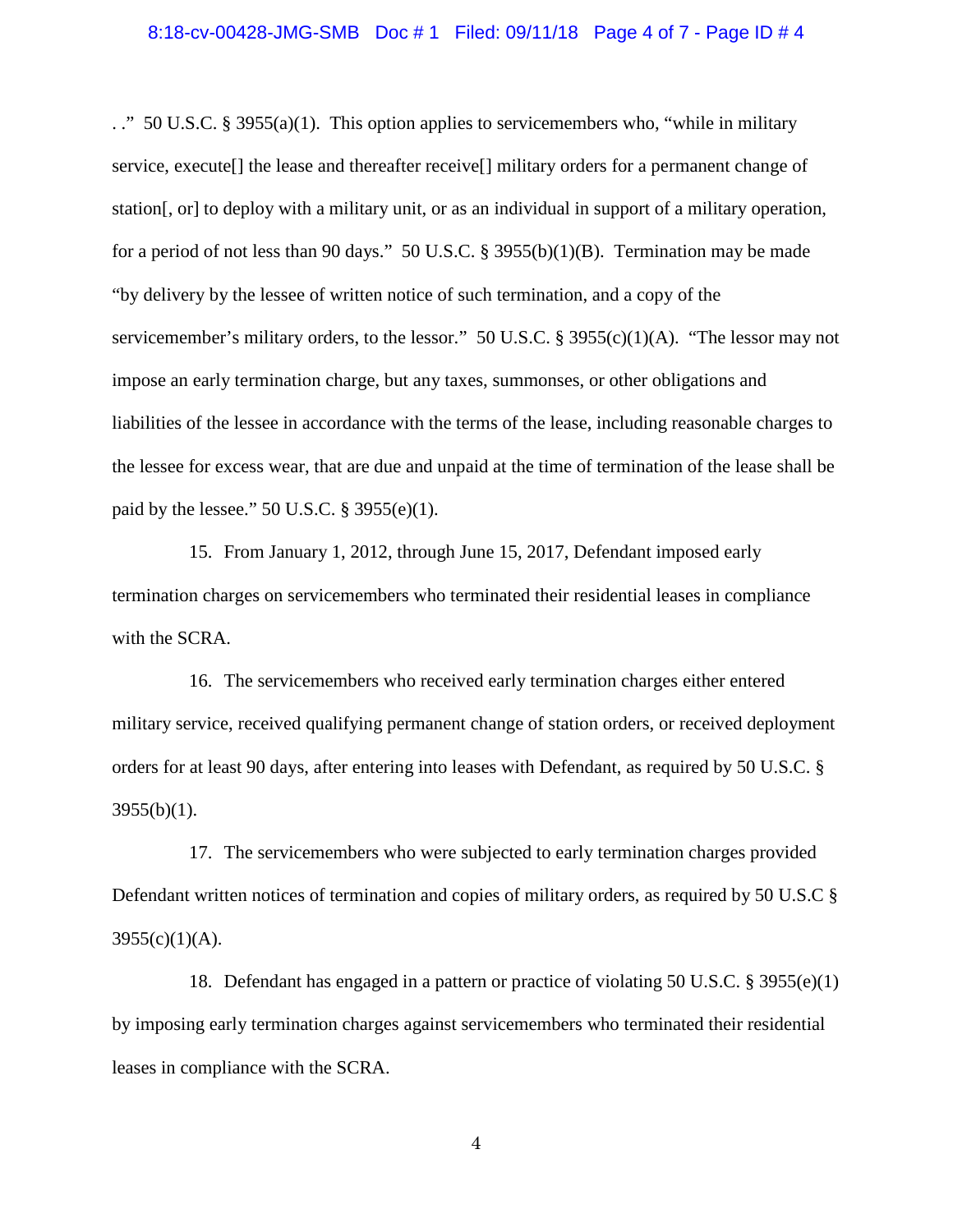#### 8:18-cv-00428-JMG-SMB Doc # 1 Filed: 09/11/18 Page 4 of 7 - Page ID # 4

. ." 50 U.S.C. § 3955(a)(1). This option applies to servicemembers who, "while in military service, execute[] the lease and thereafter receive[] military orders for a permanent change of station[, or] to deploy with a military unit, or as an individual in support of a military operation, for a period of not less than 90 days." 50 U.S.C. § 3955(b)(1)(B). Termination may be made "by delivery by the lessee of written notice of such termination, and a copy of the servicemember's military orders, to the lessor." 50 U.S.C. § 3955(c)(1)(A). "The lessor may not impose an early termination charge, but any taxes, summonses, or other obligations and liabilities of the lessee in accordance with the terms of the lease, including reasonable charges to the lessee for excess wear, that are due and unpaid at the time of termination of the lease shall be paid by the lessee." 50 U.S.C. § 3955(e)(1).

15. From January 1, 2012, through June 15, 2017, Defendant imposed early termination charges on servicemembers who terminated their residential leases in compliance with the SCRA.

16. The servicemembers who received early termination charges either entered military service, received qualifying permanent change of station orders, or received deployment orders for at least 90 days, after entering into leases with Defendant, as required by 50 U.S.C. §  $3955(b)(1)$ .

17. The servicemembers who were subjected to early termination charges provided Defendant written notices of termination and copies of military orders, as required by 50 U.S.C §  $3955(c)(1)(A)$ .

18. Defendant has engaged in a pattern or practice of violating 50 U.S.C. § 3955(e)(1) by imposing early termination charges against servicemembers who terminated their residential leases in compliance with the SCRA.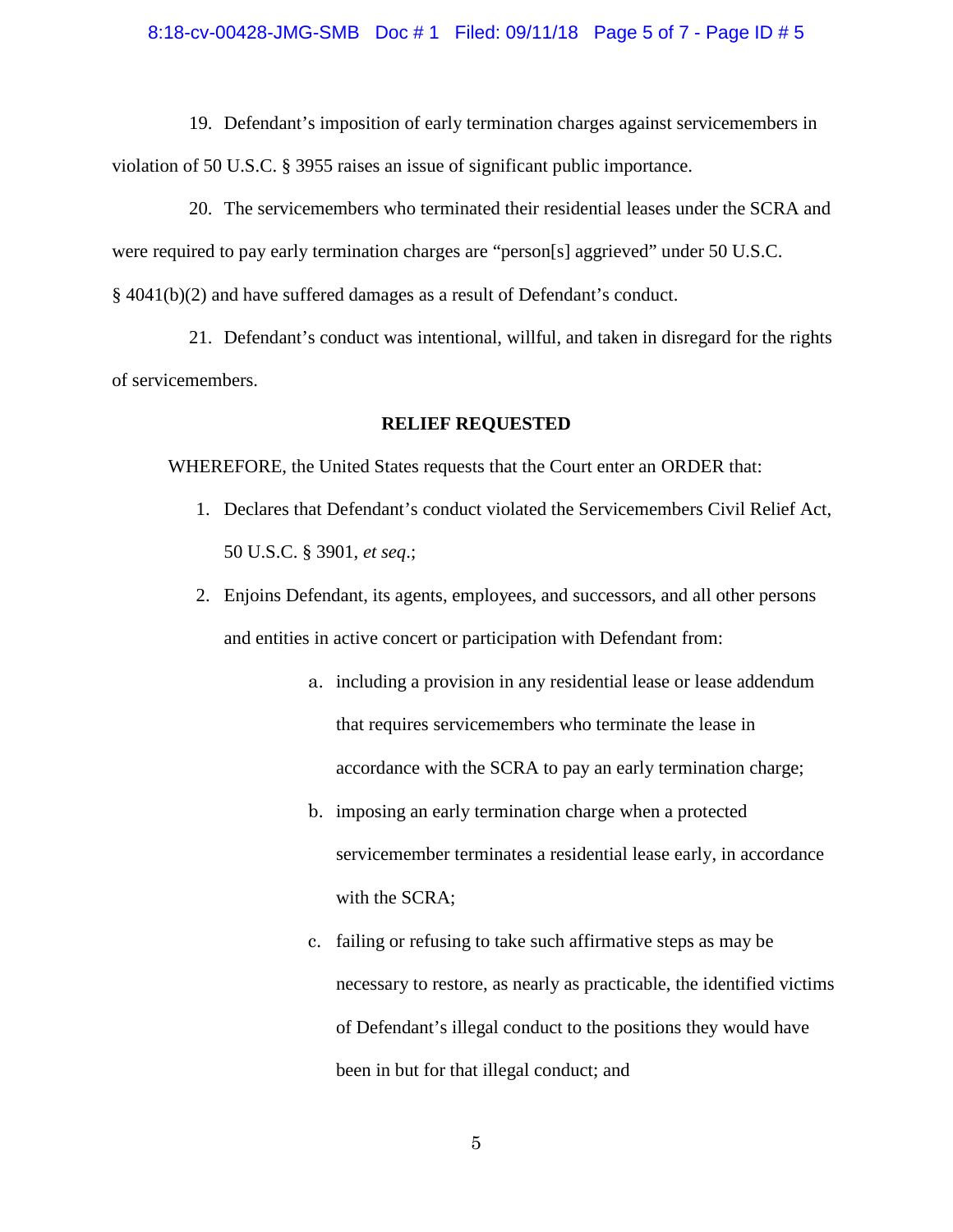#### 8:18-cv-00428-JMG-SMB Doc # 1 Filed: 09/11/18 Page 5 of 7 - Page ID # 5

19. Defendant's imposition of early termination charges against servicemembers in violation of 50 U.S.C. § 3955 raises an issue of significant public importance.

20. The servicemembers who terminated their residential leases under the SCRA and were required to pay early termination charges are "person[s] aggrieved" under 50 U.S.C. § 4041(b)(2) and have suffered damages as a result of Defendant's conduct.

21. Defendant's conduct was intentional, willful, and taken in disregard for the rights of servicemembers.

#### **RELIEF REQUESTED**

WHEREFORE, the United States requests that the Court enter an ORDER that:

- 1. Declares that Defendant's conduct violated the Servicemembers Civil Relief Act, 50 U.S.C. § 3901, *et seq*.;
- 2. Enjoins Defendant, its agents, employees, and successors, and all other persons and entities in active concert or participation with Defendant from:
	- a. including a provision in any residential lease or lease addendum that requires servicemembers who terminate the lease in accordance with the SCRA to pay an early termination charge;
	- b. imposing an early termination charge when a protected servicemember terminates a residential lease early, in accordance with the SCRA;
	- c. failing or refusing to take such affirmative steps as may be necessary to restore, as nearly as practicable, the identified victims of Defendant's illegal conduct to the positions they would have been in but for that illegal conduct; and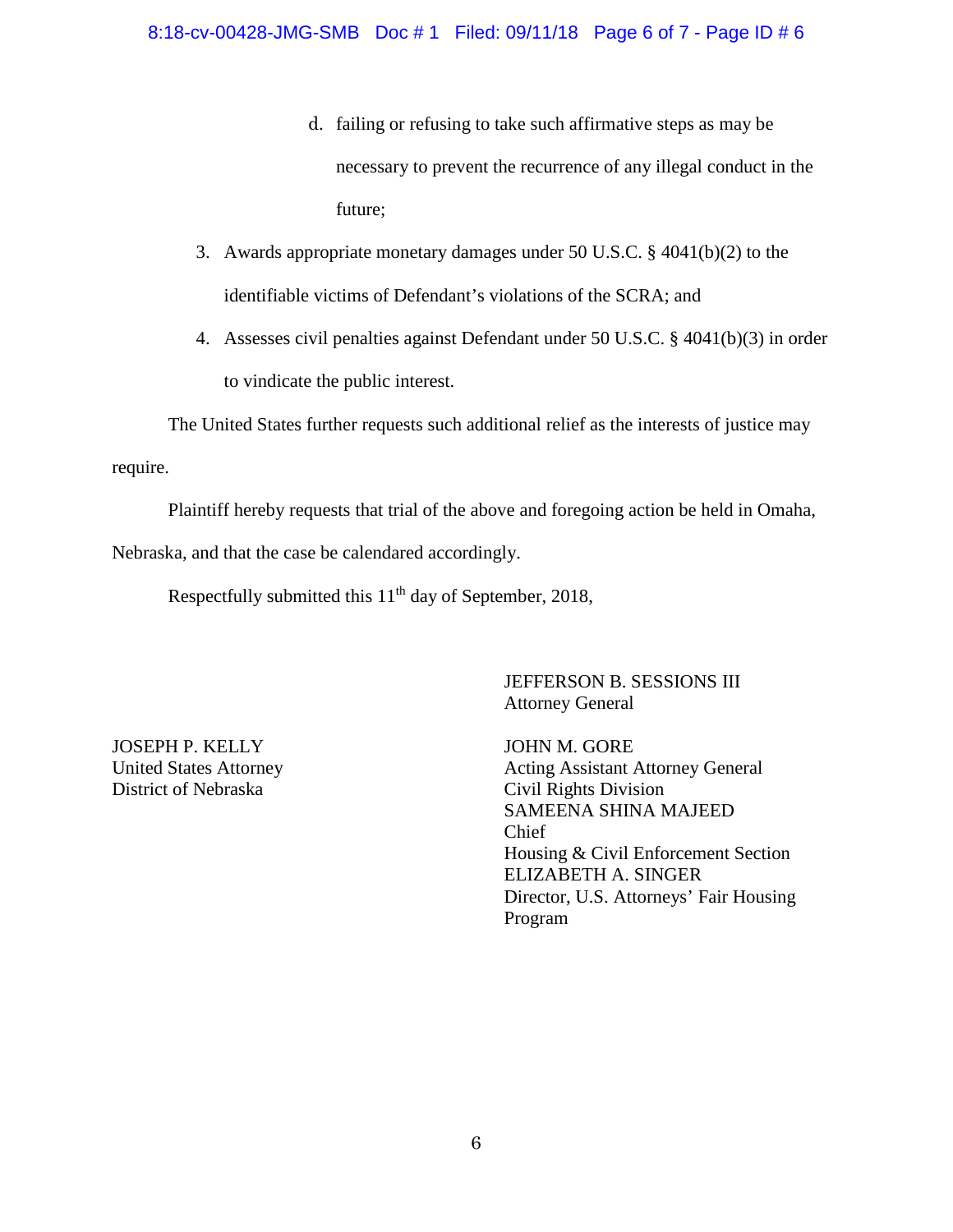- d. failing or refusing to take such affirmative steps as may be necessary to prevent the recurrence of any illegal conduct in the future;
- 3. Awards appropriate monetary damages under 50 U.S.C. § 4041(b)(2) to the identifiable victims of Defendant's violations of the SCRA; and
- 4. Assesses civil penalties against Defendant under 50 U.S.C. § 4041(b)(3) in order to vindicate the public interest.

The United States further requests such additional relief as the interests of justice may

require.

Plaintiff hereby requests that trial of the above and foregoing action be held in Omaha,

Nebraska, and that the case be calendared accordingly.

Respectfully submitted this 11<sup>th</sup> day of September, 2018,

JEFFERSON B. SESSIONS III Attorney General

JOSEPH P. KELLY United States Attorney District of Nebraska

JOHN M. GORE Acting Assistant Attorney General Civil Rights Division SAMEENA SHINA MAJEED Chief Housing & Civil Enforcement Section ELIZABETH A. SINGER Director, U.S. Attorneys' Fair Housing Program